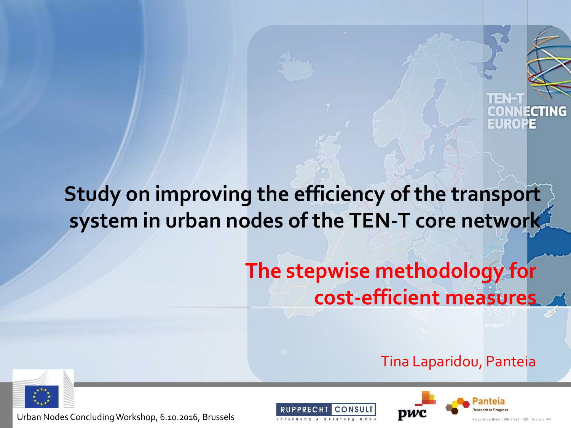

#### **Study on improving the efficiency of the transport system in urban nodes of the TEN-T core network**

#### **The stepwise methodology for cost-efficient measures**

#### Tina Laparidou, Panteia





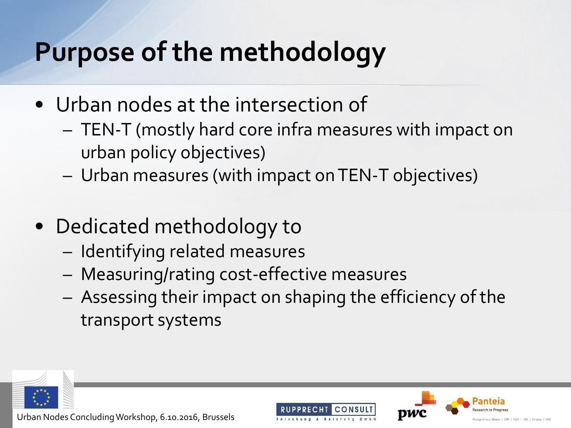#### **Purpose of the methodology**

- Urban nodes at the intersection of
	- TEN-T (mostly hard core infra measures with impact on urban policy objectives)
	- Urban measures (with impact on TEN-T objectives)
- Dedicated methodology to
	- Identifying related measures
	- Measuring/rating cost-effective measures
	- Assessing their impact on shaping the efficiency of the transport systems





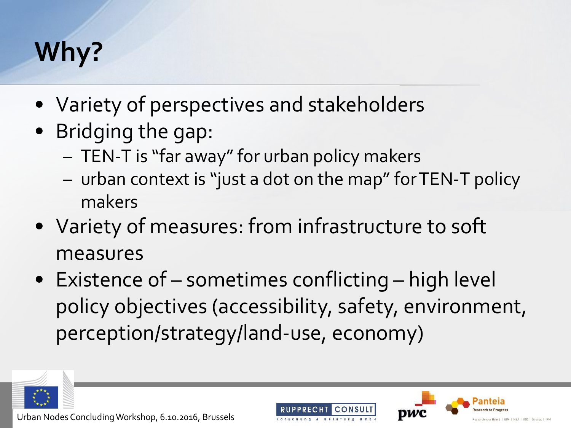#### **Why?**

- Variety of perspectives and stakeholders
- Bridging the gap:
	- TEN-T is "far away" for urban policy makers
	- urban context is "just a dot on the map" forTEN-T policy makers
- Variety of measures: from infrastructure to soft measures
- Existence of sometimes conflicting high level policy objectives (accessibility, safety, environment, perception/strategy/land-use, economy)







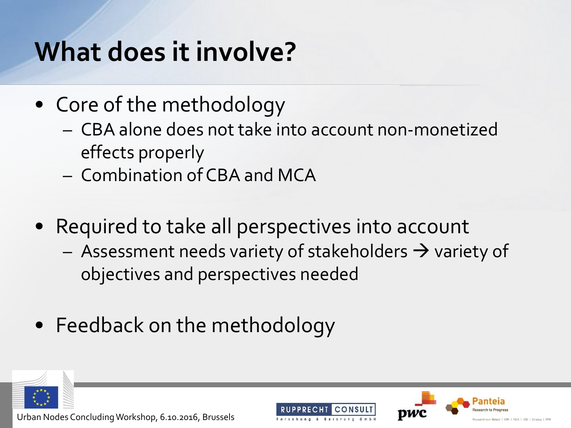#### **What does it involve?**

- Core of the methodology
	- CBA alone does not take into account non-monetized effects properly
	- Combination of CBA and MCA
- Required to take all perspectives into account
	- Assessment needs variety of stakeholders  $\rightarrow$  variety of objectives and perspectives needed
- Feedback on the methodology







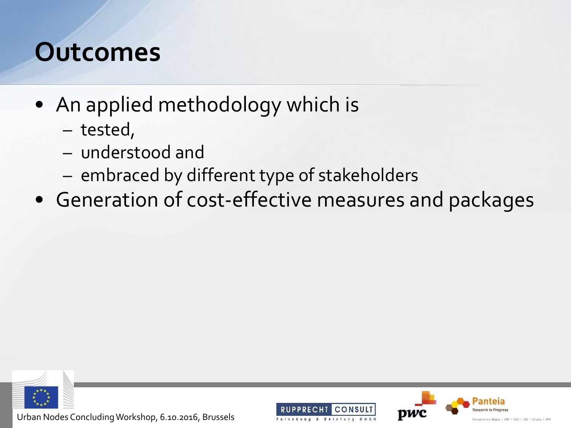#### **Outcomes**

- An applied methodology which is
	- tested,
	- understood and
	- embraced by different type of stakeholders
- Generation of cost-effective measures and packages



Urban Nodes Concluding Workshop, 6.10.2016, Brussels





r Beleid | EIM | NEA | IOO | Stratus | IPI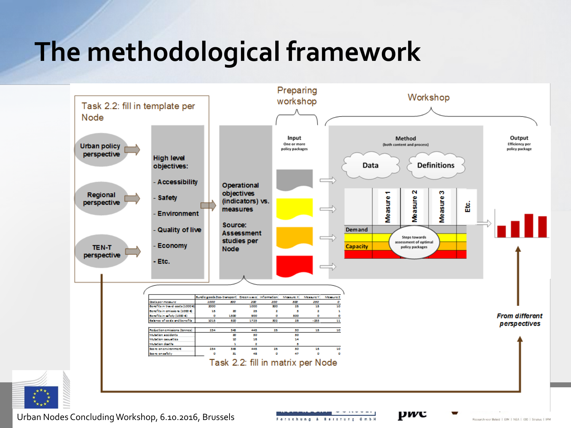#### **The methodological framework**



Urban Nodes Concluding Workshop, 6.10.2016, Brussels

Forschung & Beretung GmbH

Research voor Beleid | EIM | NEA | IOO | Stratus | IPM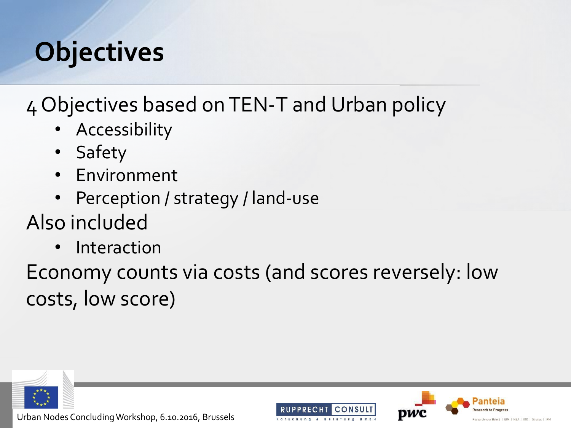#### **Objectives**

4 Objectives based on TEN-T and Urban policy

- Accessibility
- Safety
- Environment
- Perception / strategy / land-use
- Also included
	- **Interaction**

Economy counts via costs (and scores reversely: low costs, low score)







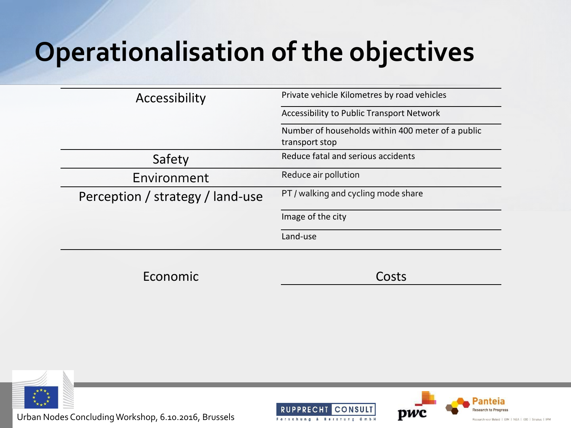#### **Operationalisation of the objectives**

| Accessibility                    | Private vehicle Kilometres by road vehicles<br>Accessibility to Public Transport Network |  |  |  |
|----------------------------------|------------------------------------------------------------------------------------------|--|--|--|
|                                  |                                                                                          |  |  |  |
|                                  | Number of households within 400 meter of a public                                        |  |  |  |
|                                  | transport stop                                                                           |  |  |  |
| Safety                           | Reduce fatal and serious accidents                                                       |  |  |  |
| Environment                      | Reduce air pollution                                                                     |  |  |  |
| Perception / strategy / land-use | PT / walking and cycling mode share                                                      |  |  |  |
|                                  | Image of the city                                                                        |  |  |  |
|                                  | Land-use                                                                                 |  |  |  |
|                                  |                                                                                          |  |  |  |
| Economic                         |                                                                                          |  |  |  |



Urban Nodes Concluding Workshop, 6.10.2016, Brussels





Research voor Beleid | EIM | NEA | IOO | Stratus | IPM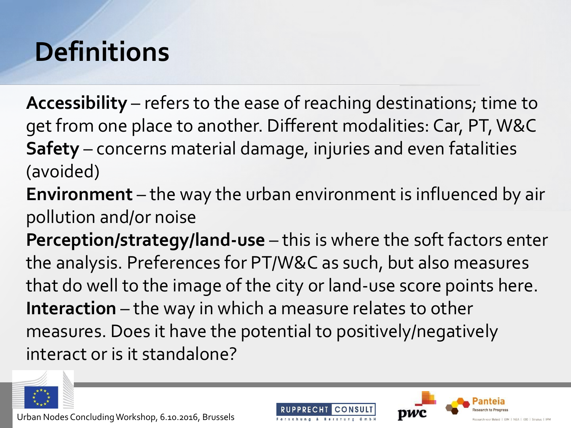#### **Definitions**

**Accessibility** – refers to the ease of reaching destinations; time to get from one place to another. Different modalities: Car, PT, W&C **Safety** – concerns material damage, injuries and even fatalities (avoided)

**Environment** – the way the urban environment is influenced by air pollution and/or noise

**Perception/strategy/land-use** – this is where the soft factors enter the analysis. Preferences for PT/W&C as such, but also measures that do well to the image of the city or land-use score points here. **Interaction** – the way in which a measure relates to other measures. Does it have the potential to positively/negatively interact or is it standalone?







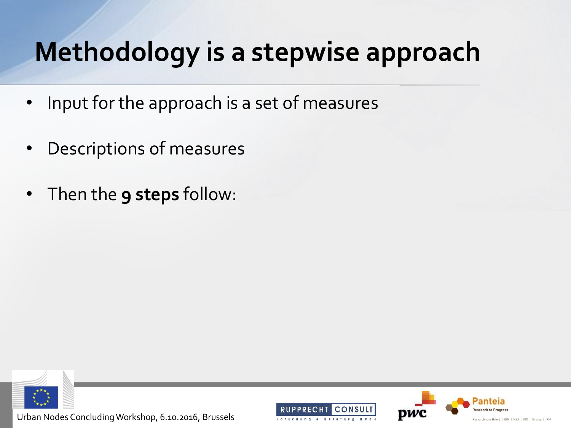#### **Methodology is a stepwise approach**

- Input for the approach is a set of measures
- Descriptions of measures
- Then the **9 steps** follow:



Urban Nodes Concluding Workshop, 6.10.2016, Brussels





id | EIM | NEA | IOO | Stratus | IPM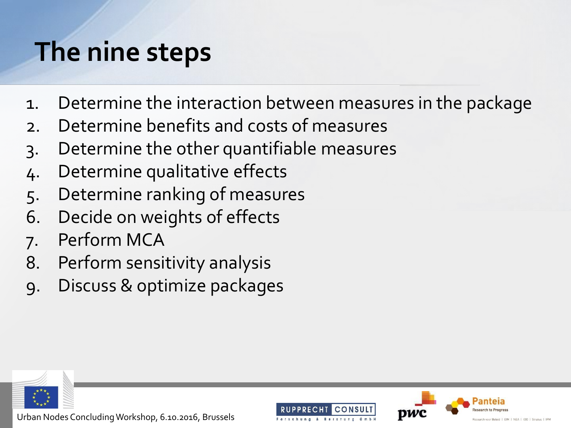#### **The nine steps**

- 1. Determine the interaction between measures in the package
- 2. Determine benefits and costs of measures
- 3. Determine the other quantifiable measures
- 4. Determine qualitative effects
- 5. Determine ranking of measures
- 6. Decide on weights of effects
- 7. Perform MCA
- 8. Perform sensitivity analysis
- 9. Discuss & optimize packages





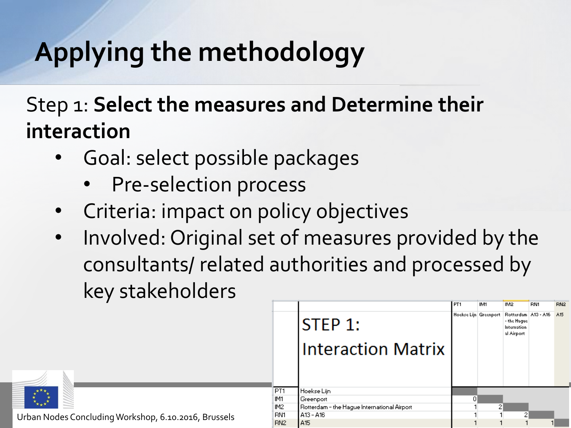Step 1: **Select the measures and Determine their interaction**

- Goal: select possible packages
	- Pre-selection process
- Criteria: impact on policy objectives
- Involved: Original set of measures provided by the consultants/ related authorities and processed by key stakeholders

|                                                 |                 |                                             | PT1 | IM1 | IM <sub>2</sub>                                                                           | <b>BN1</b> | RN <sub>2</sub> |
|-------------------------------------------------|-----------------|---------------------------------------------|-----|-----|-------------------------------------------------------------------------------------------|------------|-----------------|
|                                                 |                 | <b>STEP 1:</b>                              |     |     | Hoekse Lijn Greenport Rotterdam A13 - A16 A15<br>- the Haque<br>Internation<br>al Airport |            |                 |
|                                                 |                 | <b>Interaction Matrix</b>                   |     |     |                                                                                           |            |                 |
|                                                 |                 |                                             |     |     |                                                                                           |            |                 |
|                                                 | PT1             | Hoekse Lijn                                 |     |     |                                                                                           |            |                 |
|                                                 | IM <sub>1</sub> | Greenport                                   | 0.  |     |                                                                                           |            |                 |
| IM2                                             |                 | Rotterdam - the Haque International Airport |     | 2   |                                                                                           |            |                 |
| BN1<br>, 6.10.2016, Brussels<br>RN <sub>2</sub> |                 | A13 - A16                                   |     |     | 2                                                                                         |            |                 |
|                                                 |                 | A <sub>15</sub>                             |     |     |                                                                                           |            |                 |



Urban Nodes Concluding Workshop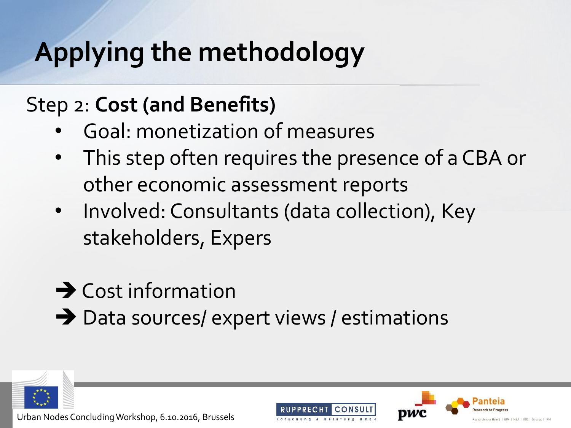#### Step 2: **Cost (and Benefits)**

- Goal: monetization of measures
- This step often requires the presence of a CBA or other economic assessment reports
- Involved: Consultants (data collection), Key stakeholders, Expers
- $\rightarrow$  Cost information
- $\rightarrow$  Data sources/ expert views / estimations







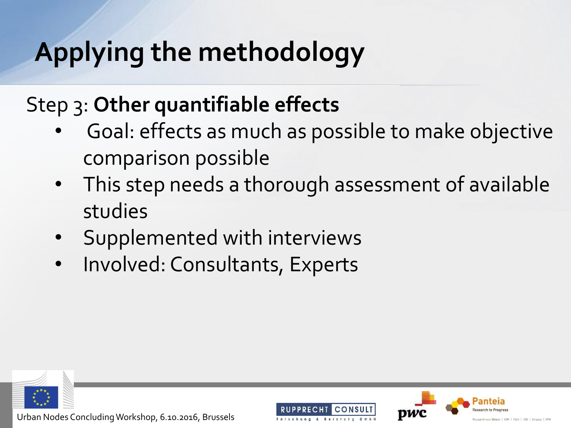#### Step 3: **Other quantifiable effects**

- Goal: effects as much as possible to make objective comparison possible
- This step needs a thorough assessment of available studies
- Supplemented with interviews
- Involved: Consultants, Experts







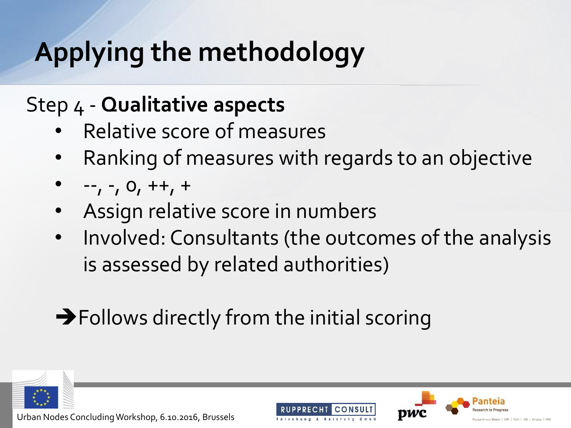#### Step 4 - **Qualitative aspects**

- Relative score of measures
- Ranking of measures with regards to an objective
- $-,-, -, 0, ++, +$
- Assign relative score in numbers
- Involved: Consultants (the outcomes of the analysis is assessed by related authorities)
- Follows directly from the initial scoring





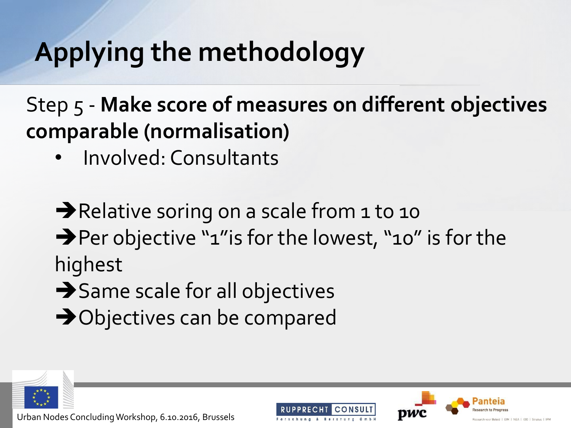Step 5 - **Make score of measures on different objectives comparable (normalisation)**

• Involved: Consultants

Relative soring on a scale from 1 to 10 → Per objective "1" is for the lowest, "10" is for the highest

- $\rightarrow$  Same scale for all objectives
- **→**Objectives can be compared





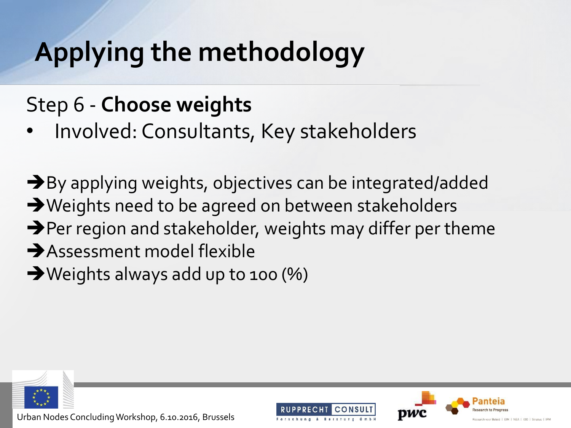#### Step 6 - **Choose weights**

Involved: Consultants, Key stakeholders

 $\rightarrow$  By applying weights, objectives can be integrated/added → Weights need to be agreed on between stakeholders  $\rightarrow$  Per region and stakeholder, weights may differ per theme Assessment model flexible → Weights always add up to 100 (%)





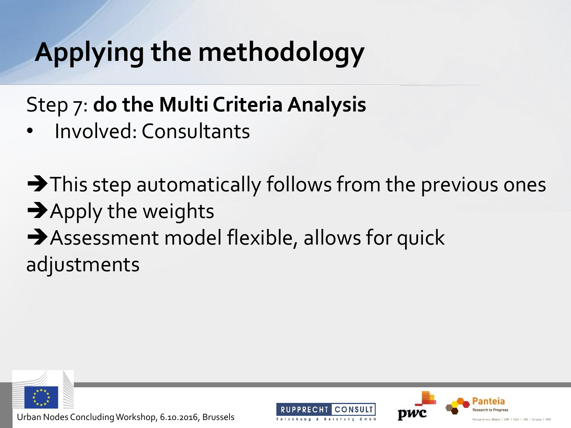Step 7: **do the Multi Criteria Analysis**

• Involved: Consultants

 $\rightarrow$  This step automatically follows from the previous ones  $\rightarrow$  Apply the weights Assessment model flexible, allows for quick adjustments





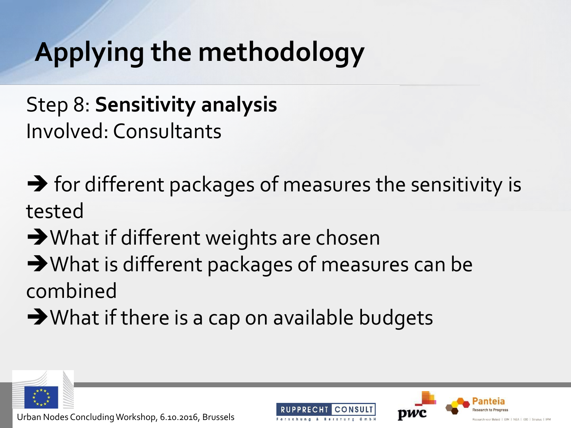Step 8: **Sensitivity analysis** Involved: Consultants

 $\rightarrow$  for different packages of measures the sensitivity is tested

- **→ What if different weights are chosen**
- → What is different packages of measures can be combined
- $\rightarrow$  What if there is a cap on available budgets





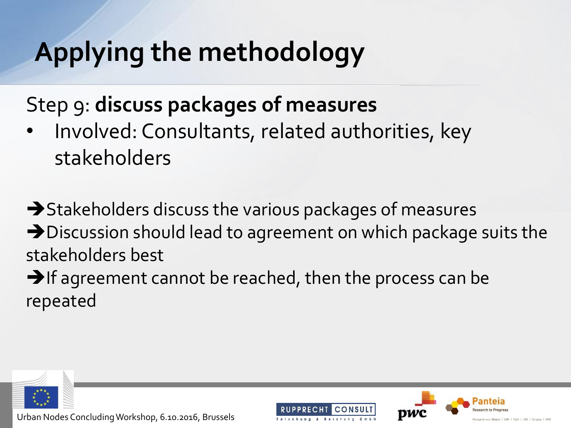Step 9: **discuss packages of measures**

Involved: Consultants, related authorities, key stakeholders

 $\rightarrow$  Stakeholders discuss the various packages of measures → Discussion should lead to agreement on which package suits the stakeholders best  $\rightarrow$  If agreement cannot be reached, then the process can be

repeated